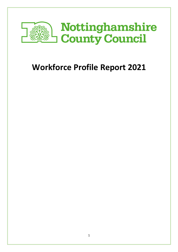

# **Workforce Profile Report 2021**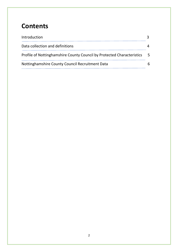### **Contents**

| Introduction                                                           |    |  |  |  |
|------------------------------------------------------------------------|----|--|--|--|
| Data collection and definitions                                        |    |  |  |  |
| Profile of Nottinghamshire County Council by Protected Characteristics | -5 |  |  |  |
| Nottinghamshire County Council Recruitment Data                        | 6  |  |  |  |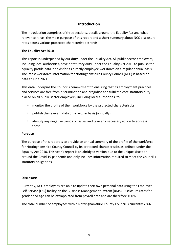#### **Introduction**

The introduction comprises of three sections, details around the Equality Act and what relevance it has, the main purpose of this report and a short summary about NCC disclosure rates across various protected characteristic strands.

#### **The Equality Act 2010**

This report is underpinned by our duty under the Equality Act. All public sector employers, including local authorities, have a statutory duty under the Equality Act 2010 to publish the equality profile data it holds for its directly employee workforce on a regular annual basis. The latest workforce information for Nottinghamshire County Council (NCC) is based on data at June 2021.

This data underpins the Council's commitment to ensuring that its employment practices and services are free from discrimination and prejudice and fulfil the core statutory duty placed on all public sector employers, including local authorities, to:

- monitor the profile of their workforce by the protected characteristics
- publish the relevant data on a regular basis (annually)
- identify any negative trends or issues and take any necessary action to address these.

#### **Purpose**

The purpose of this report is to provide an annual summary of the profile of the workforce for Nottinghamshire County Council by its protected characteristics as defined under the Equality Act 2010. This year's report is an abridged version due to the unique situation around the Covid 19 pandemic and only includes information required to meet the Council's statutory obligations.

#### **Disclosure**

Currently, NCC employees are able to update their own personal data using the Employee Self Service (ESS) facility on the Business Management System (BMS). Disclosure rates for gender and age can be extrapolated from payroll data and are therefore 100%.

The total number of employees within Nottinghamshire County Council is currently 7366.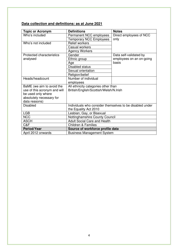### **Data collection and definitions: as at June 2021**

| <b>Topic or Acronym</b>          | <b>Definitions</b>                                       | <b>Notes</b>             |  |  |  |
|----------------------------------|----------------------------------------------------------|--------------------------|--|--|--|
| Who's included                   | Permanent NCC employees                                  | Direct employees of NCC  |  |  |  |
|                                  | <b>Temporary NCC Employees</b>                           | only                     |  |  |  |
| Who's not included               | <b>Relief workers</b>                                    |                          |  |  |  |
|                                  | Casual workers                                           |                          |  |  |  |
|                                  | <b>Agency Workers</b>                                    |                          |  |  |  |
| <b>Protected characteristics</b> | Gender                                                   | Data self-validated by   |  |  |  |
| analysed                         | Ethnic group                                             | employees on an on-going |  |  |  |
|                                  | Age                                                      | basis                    |  |  |  |
|                                  | <b>Disabled status</b>                                   |                          |  |  |  |
|                                  | Sexual orientation                                       |                          |  |  |  |
|                                  | Religion/belief                                          |                          |  |  |  |
| Heads/headcount                  | Number of individual                                     |                          |  |  |  |
|                                  | employees                                                |                          |  |  |  |
| BaME (we aim to avoid the        | All ethnicity categories other than                      |                          |  |  |  |
| use of this acronym and will     | British/English/Scottish/Welsh/N.Irish                   |                          |  |  |  |
| be used only where               |                                                          |                          |  |  |  |
| absolutely necessary for         |                                                          |                          |  |  |  |
| data reasons)                    |                                                          |                          |  |  |  |
| <b>Disabled</b>                  | Individuals who consider themselves to be disabled under |                          |  |  |  |
|                                  | the Equality Act 2010                                    |                          |  |  |  |
| <b>LGB</b>                       | Lesbian, Gay, or Bisexual                                |                          |  |  |  |
| <b>NCC</b>                       | Nottinghamshire County Council                           |                          |  |  |  |
| <b>ASCH</b>                      | <b>Adult Social Care and Health</b>                      |                          |  |  |  |
| C&F                              | <b>Children &amp; Families</b>                           |                          |  |  |  |
| <b>Period/Year</b>               | Source of workforce profile data                         |                          |  |  |  |
| April 2012 onwards               | <b>Business Management System</b>                        |                          |  |  |  |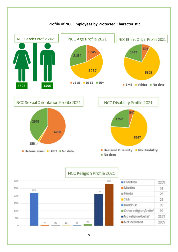